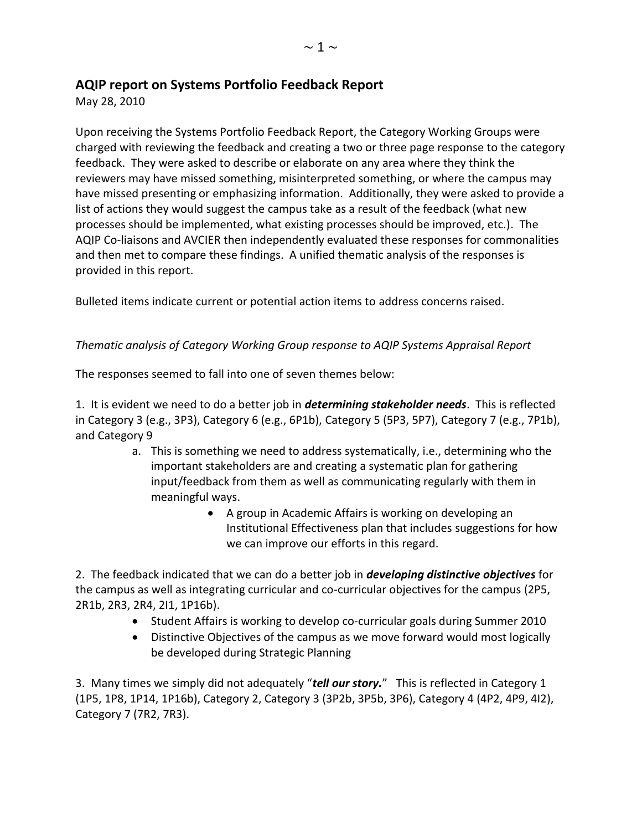## **AQIP report on Systems Portfolio Feedback Report**

May 28, 2010

Upon receiving the Systems Portfolio Feedback Report, the Category Working Groups were charged with reviewing the feedback and creating a two or three page response to the category feedback. They were asked to describe or elaborate on any area where they think the reviewers may have missed something, misinterpreted something, or where the campus may have missed presenting or emphasizing information. Additionally, they were asked to provide a list of actions they would suggest the campus take as a result of the feedback (what new processes should be implemented, what existing processes should be improved, etc.). The AQIP Co-liaisons and AVCIER then independently evaluated these responses for commonalities and then met to compare these findings. A unified thematic analysis of the responses is provided in this report.

Bulleted items indicate current or potential action items to address concerns raised.

## *Thematic analysis of Category Working Group response to AQIP Systems Appraisal Report*

The responses seemed to fall into one of seven themes below:

1. It is evident we need to do a better job in *determining stakeholder needs*. This is reflected in Category 3 (e.g., 3P3), Category 6 (e.g., 6P1b), Category 5 (5P3, 5P7), Category 7 (e.g., 7P1b), and Category 9

- a. This is something we need to address systematically, i.e., determining who the important stakeholders are and creating a systematic plan for gathering input/feedback from them as well as communicating regularly with them in meaningful ways.
	- A group in Academic Affairs is working on developing an Institutional Effectiveness plan that includes suggestions for how we can improve our efforts in this regard.

2. The feedback indicated that we can do a better job in *developing distinctive objectives* for the campus as well as integrating curricular and co-curricular objectives for the campus (2P5, 2R1b, 2R3, 2R4, 2I1, 1P16b).

- Student Affairs is working to develop co-curricular goals during Summer 2010
- Distinctive Objectives of the campus as we move forward would most logically be developed during Strategic Planning

3. Many times we simply did not adequately "*tell our story.*" This is reflected in Category 1 (1P5, 1P8, 1P14, 1P16b), Category 2, Category 3 (3P2b, 3P5b, 3P6), Category 4 (4P2, 4P9, 4I2), Category 7 (7R2, 7R3).